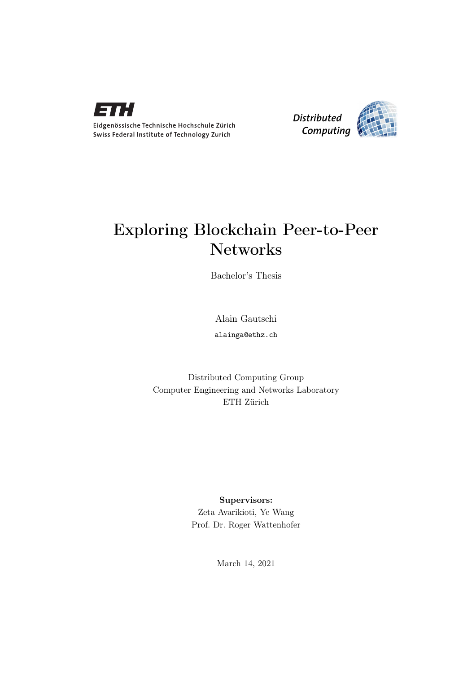

Eidgenössische Technische Hochschule Zürich Swiss Federal Institute of Technology Zurich



# Exploring Blockchain Peer-to-Peer Networks

Bachelor's Thesis

Alain Gautschi

alainga@ethz.ch

Distributed Computing Group Computer Engineering and Networks Laboratory ETH Zürich

# Supervisors:

Zeta Avarikioti, Ye Wang Prof. Dr. Roger Wattenhofer

March 14, 2021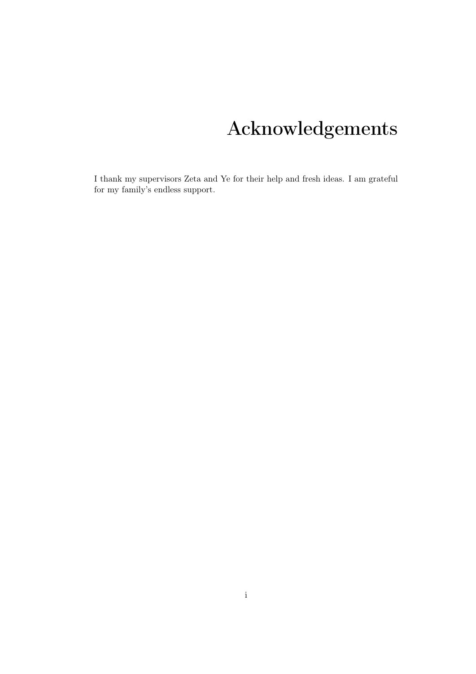# Acknowledgements

<span id="page-1-0"></span>I thank my supervisors Zeta and Ye for their help and fresh ideas. I am grateful for my family's endless support.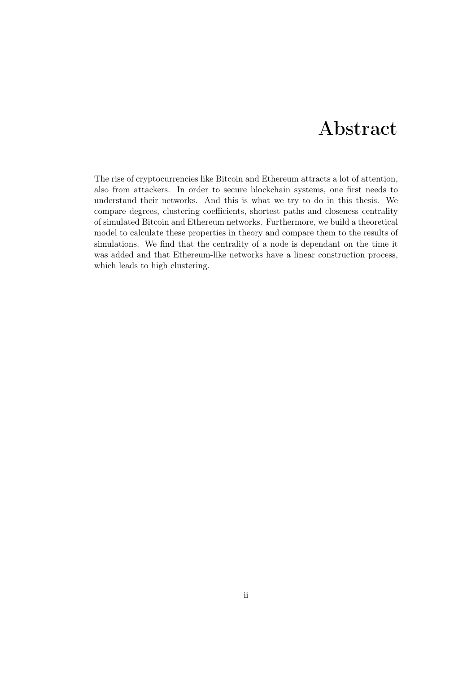# Abstract

<span id="page-2-0"></span>The rise of cryptocurrencies like Bitcoin and Ethereum attracts a lot of attention, also from attackers. In order to secure blockchain systems, one first needs to understand their networks. And this is what we try to do in this thesis. We compare degrees, clustering coefficients, shortest paths and closeness centrality of simulated Bitcoin and Ethereum networks. Furthermore, we build a theoretical model to calculate these properties in theory and compare them to the results of simulations. We find that the centrality of a node is dependant on the time it was added and that Ethereum-like networks have a linear construction process, which leads to high clustering.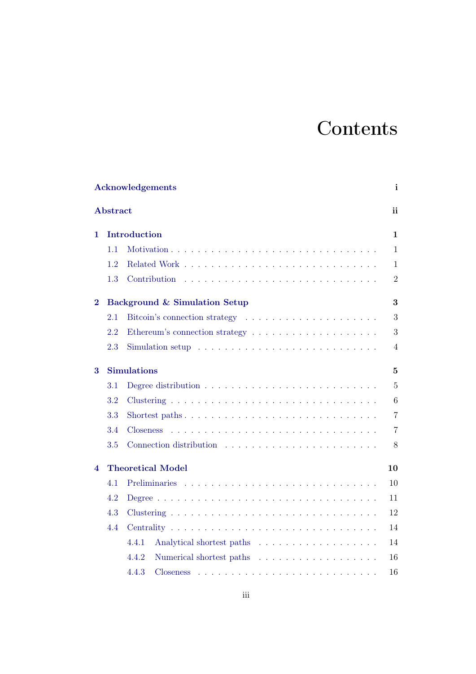# **Contents**

|                | <b>Acknowledgements</b><br>$\mathbf{i}$<br><b>Abstract</b><br>ii |                                                                                                    |                |  |  |  |  |  |  |  |
|----------------|------------------------------------------------------------------|----------------------------------------------------------------------------------------------------|----------------|--|--|--|--|--|--|--|
|                |                                                                  |                                                                                                    |                |  |  |  |  |  |  |  |
| 1              |                                                                  | Introduction                                                                                       |                |  |  |  |  |  |  |  |
|                | 1.1                                                              |                                                                                                    | $\mathbf{1}$   |  |  |  |  |  |  |  |
|                | 1.2                                                              |                                                                                                    | $\mathbf{1}$   |  |  |  |  |  |  |  |
|                | 1.3                                                              | Contribution<br><u>. Kanada ana kanada ana kanada ana kanada ana kanada an</u>                     | $\overline{2}$ |  |  |  |  |  |  |  |
| $\overline{2}$ |                                                                  | Background & Simulation Setup                                                                      |                |  |  |  |  |  |  |  |
|                | 2.1                                                              |                                                                                                    | 3              |  |  |  |  |  |  |  |
|                | 2.2                                                              |                                                                                                    | 3              |  |  |  |  |  |  |  |
|                | 2.3                                                              | Simulation setup $\ldots \ldots \ldots \ldots \ldots \ldots \ldots \ldots \ldots \ldots$           | 4              |  |  |  |  |  |  |  |
| 3              | <b>Simulations</b>                                               |                                                                                                    |                |  |  |  |  |  |  |  |
|                | 3.1                                                              |                                                                                                    | $\overline{5}$ |  |  |  |  |  |  |  |
|                | 3.2                                                              |                                                                                                    | 6              |  |  |  |  |  |  |  |
|                | 3.3                                                              |                                                                                                    | $\overline{7}$ |  |  |  |  |  |  |  |
|                | 3.4                                                              | <b>Closeness</b>                                                                                   | $\overline{7}$ |  |  |  |  |  |  |  |
|                | 3.5                                                              |                                                                                                    | 8              |  |  |  |  |  |  |  |
| 4              | <b>Theoretical Model</b><br>10                                   |                                                                                                    |                |  |  |  |  |  |  |  |
|                | 4.1                                                              |                                                                                                    | 10             |  |  |  |  |  |  |  |
|                | 4.2                                                              |                                                                                                    | 11             |  |  |  |  |  |  |  |
|                | 4.3                                                              |                                                                                                    | 12             |  |  |  |  |  |  |  |
|                | 4.4                                                              |                                                                                                    | 14             |  |  |  |  |  |  |  |
|                |                                                                  | 4.4.1                                                                                              | 14             |  |  |  |  |  |  |  |
|                |                                                                  | 4.4.2                                                                                              | 16             |  |  |  |  |  |  |  |
|                |                                                                  | 4.4.3<br>Closeness<br>والمتعاونة والمتعاونة والمتعاونة والمتعاونة والمتعاونة والمتعاونة والمتعاونة | 16             |  |  |  |  |  |  |  |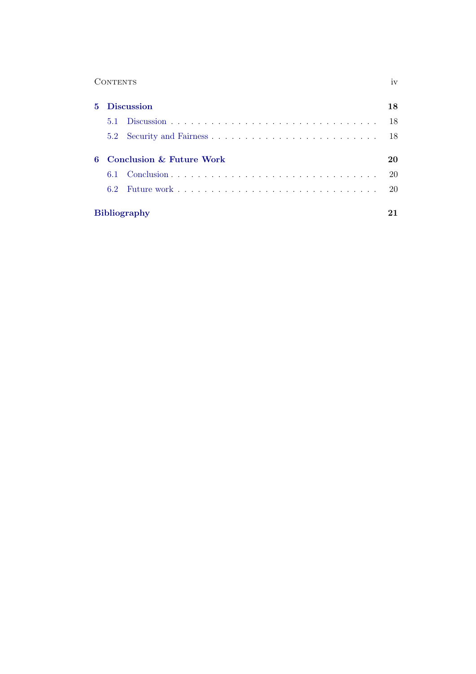| <b>CONTENTS</b> |  | 1 V Z |  |
|-----------------|--|-------|--|
|                 |  |       |  |

| $5^{\circ}$ | <b>Discussion</b>   |                            |     |  |  |
|-------------|---------------------|----------------------------|-----|--|--|
|             | 5.1                 |                            | -18 |  |  |
|             |                     |                            |     |  |  |
|             |                     | 6 Conclusion & Future Work | 20  |  |  |
|             |                     |                            | -20 |  |  |
|             | 62                  |                            |     |  |  |
|             | <b>Bibliography</b> |                            |     |  |  |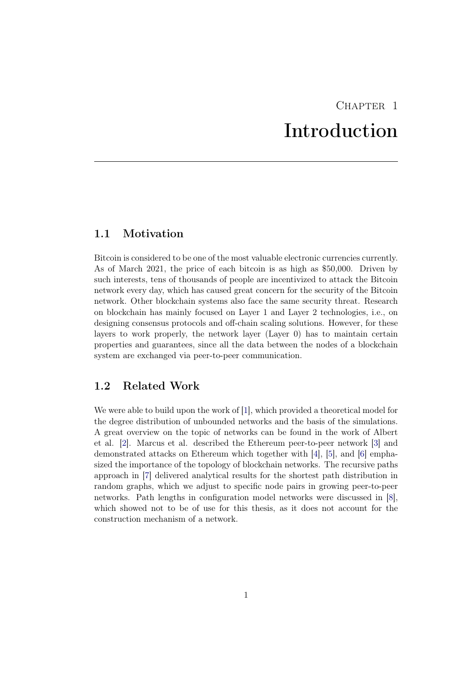# CHAPTER<sub>1</sub> Introduction

# <span id="page-5-1"></span><span id="page-5-0"></span>1.1 Motivation

Bitcoin is considered to be one of the most valuable electronic currencies currently. As of March 2021, the price of each bitcoin is as high as \$50,000. Driven by such interests, tens of thousands of people are incentivized to attack the Bitcoin network every day, which has caused great concern for the security of the Bitcoin network. Other blockchain systems also face the same security threat. Research on blockchain has mainly focused on Layer 1 and Layer 2 technologies, i.e., on designing consensus protocols and off-chain scaling solutions. However, for these layers to work properly, the network layer (Layer 0) has to maintain certain properties and guarantees, since all the data between the nodes of a blockchain system are exchanged via peer-to-peer communication.

### <span id="page-5-2"></span>1.2 Related Work

We were able to build upon the work of [\[1\]](#page-25-1), which provided a theoretical model for the degree distribution of unbounded networks and the basis of the simulations. A great overview on the topic of networks can be found in the work of Albert et al. [\[2\]](#page-25-2). Marcus et al. described the Ethereum peer-to-peer network [\[3\]](#page-25-3) and demonstrated attacks on Ethereum which together with [\[4\]](#page-25-4), [\[5\]](#page-25-5), and [\[6\]](#page-25-6) emphasized the importance of the topology of blockchain networks. The recursive paths approach in [\[7\]](#page-25-7) delivered analytical results for the shortest path distribution in random graphs, which we adjust to specific node pairs in growing peer-to-peer networks. Path lengths in configuration model networks were discussed in [\[8\]](#page-25-8), which showed not to be of use for this thesis, as it does not account for the construction mechanism of a network.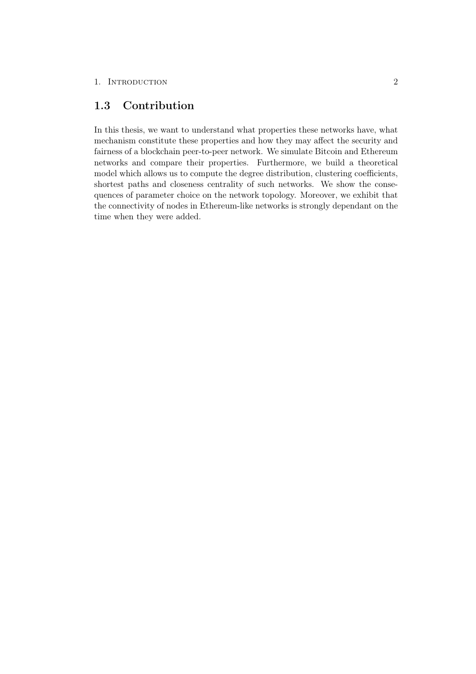# <span id="page-6-0"></span>1.3 Contribution

In this thesis, we want to understand what properties these networks have, what mechanism constitute these properties and how they may affect the security and fairness of a blockchain peer-to-peer network. We simulate Bitcoin and Ethereum networks and compare their properties. Furthermore, we build a theoretical model which allows us to compute the degree distribution, clustering coefficients, shortest paths and closeness centrality of such networks. We show the consequences of parameter choice on the network topology. Moreover, we exhibit that the connectivity of nodes in Ethereum-like networks is strongly dependant on the time when they were added.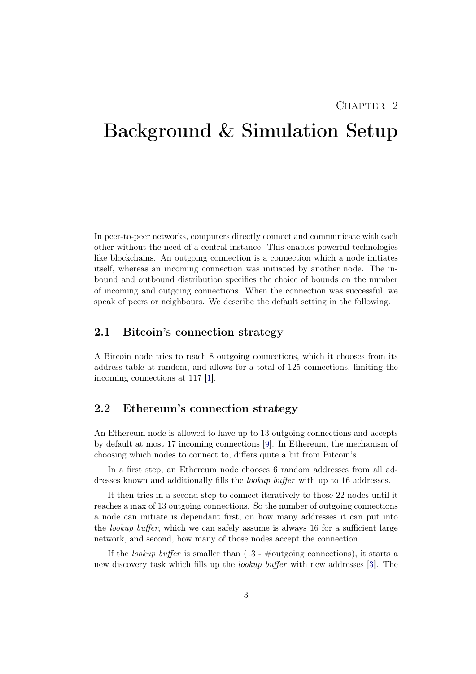# $CHAPTER$  2

# <span id="page-7-0"></span>Background & Simulation Setup

In peer-to-peer networks, computers directly connect and communicate with each other without the need of a central instance. This enables powerful technologies like blockchains. An outgoing connection is a connection which a node initiates itself, whereas an incoming connection was initiated by another node. The inbound and outbound distribution specifies the choice of bounds on the number of incoming and outgoing connections. When the connection was successful, we speak of peers or neighbours. We describe the default setting in the following.

# <span id="page-7-1"></span>2.1 Bitcoin's connection strategy

A Bitcoin node tries to reach 8 outgoing connections, which it chooses from its address table at random, and allows for a total of 125 connections, limiting the incoming connections at 117 [\[1\]](#page-25-1).

### <span id="page-7-2"></span>2.2 Ethereum's connection strategy

An Ethereum node is allowed to have up to 13 outgoing connections and accepts by default at most 17 incoming connections [\[9\]](#page-25-9). In Ethereum, the mechanism of choosing which nodes to connect to, differs quite a bit from Bitcoin's.

In a first step, an Ethereum node chooses 6 random addresses from all addresses known and additionally fills the lookup buffer with up to 16 addresses.

It then tries in a second step to connect iteratively to those 22 nodes until it reaches a max of 13 outgoing connections. So the number of outgoing connections a node can initiate is dependant first, on how many addresses it can put into the *lookup buffer*, which we can safely assume is always 16 for a sufficient large network, and second, how many of those nodes accept the connection.

If the lookup buffer is smaller than  $(13 - \text{\#outgoing connections})$ , it starts a new discovery task which fills up the lookup buffer with new addresses [\[3\]](#page-25-3). The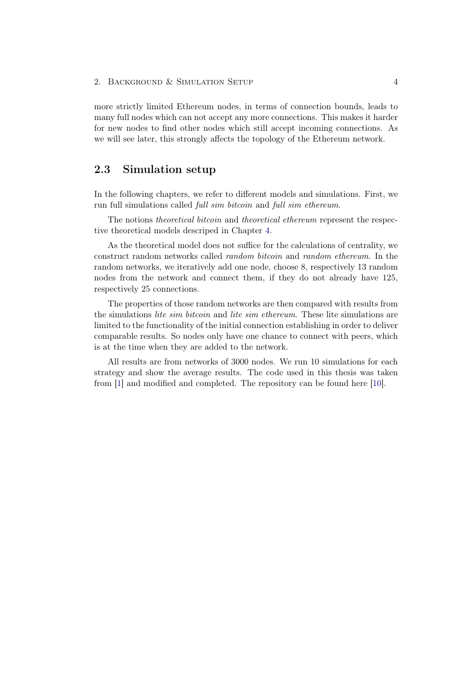#### 2. BACKGROUND & SIMULATION SETUP 4

more strictly limited Ethereum nodes, in terms of connection bounds, leads to many full nodes which can not accept any more connections. This makes it harder for new nodes to find other nodes which still accept incoming connections. As we will see later, this strongly affects the topology of the Ethereum network.

### <span id="page-8-0"></span>2.3 Simulation setup

In the following chapters, we refer to different models and simulations. First, we run full simulations called full sim bitcoin and full sim ethereum.

The notions *theoretical bitcoin* and *theoretical ethereum* represent the respective theoretical models descriped in Chapter [4.](#page-14-0)

As the theoretical model does not suffice for the calculations of centrality, we construct random networks called random bitcoin and random ethereum. In the random networks, we iteratively add one node, choose 8, respectively 13 random nodes from the network and connect them, if they do not already have 125, respectively 25 connections.

The properties of those random networks are then compared with results from the simulations lite sim bitcoin and lite sim ethereum. These lite simulations are limited to the functionality of the initial connection establishing in order to deliver comparable results. So nodes only have one chance to connect with peers, which is at the time when they are added to the network.

All results are from networks of 3000 nodes. We run 10 simulations for each strategy and show the average results. The code used in this thesis was taken from [\[1\]](#page-25-1) and modified and completed. The repository can be found here [\[10\]](#page-25-10).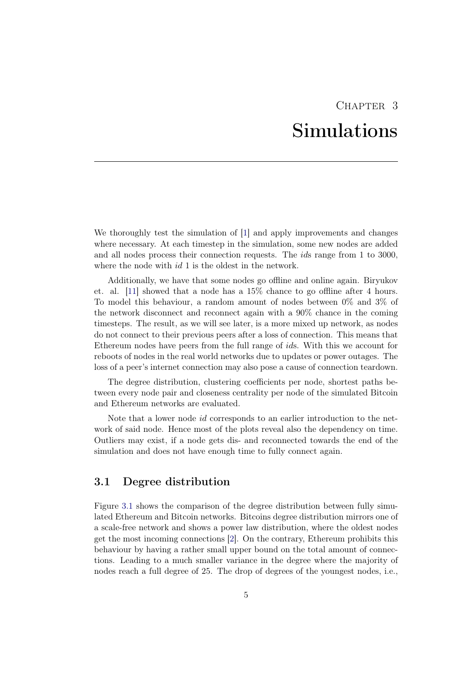# CHAPTER<sub>3</sub> Simulations

<span id="page-9-0"></span>We thoroughly test the simulation of [\[1\]](#page-25-1) and apply improvements and changes where necessary. At each timestep in the simulation, some new nodes are added and all nodes process their connection requests. The ids range from 1 to 3000, where the node with  $id$  1 is the oldest in the network.

Additionally, we have that some nodes go offline and online again. Biryukov et. al. [\[11\]](#page-25-11) showed that a node has a 15% chance to go offline after 4 hours. To model this behaviour, a random amount of nodes between 0% and 3% of the network disconnect and reconnect again with a 90% chance in the coming timesteps. The result, as we will see later, is a more mixed up network, as nodes do not connect to their previous peers after a loss of connection. This means that Ethereum nodes have peers from the full range of ids. With this we account for reboots of nodes in the real world networks due to updates or power outages. The loss of a peer's internet connection may also pose a cause of connection teardown.

The degree distribution, clustering coefficients per node, shortest paths between every node pair and closeness centrality per node of the simulated Bitcoin and Ethereum networks are evaluated.

Note that a lower node id corresponds to an earlier introduction to the network of said node. Hence most of the plots reveal also the dependency on time. Outliers may exist, if a node gets dis- and reconnected towards the end of the simulation and does not have enough time to fully connect again.

### <span id="page-9-1"></span>3.1 Degree distribution

Figure [3.1](#page-10-1) shows the comparison of the degree distribution between fully simulated Ethereum and Bitcoin networks. Bitcoins degree distribution mirrors one of a scale-free network and shows a power law distribution, where the oldest nodes get the most incoming connections [\[2\]](#page-25-2). On the contrary, Ethereum prohibits this behaviour by having a rather small upper bound on the total amount of connections. Leading to a much smaller variance in the degree where the majority of nodes reach a full degree of 25. The drop of degrees of the youngest nodes, i.e.,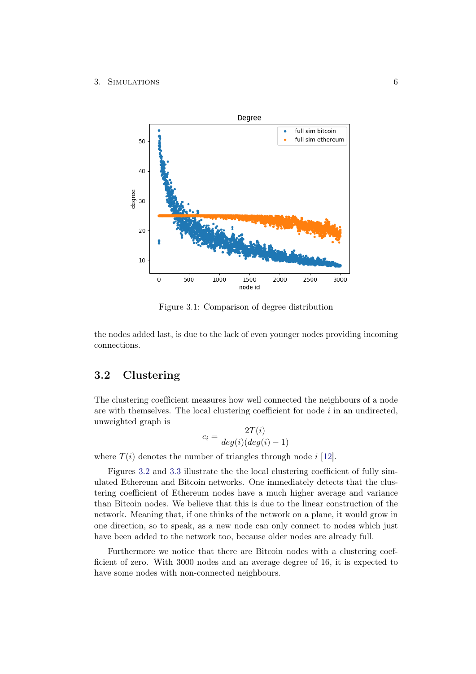#### <span id="page-10-1"></span>3. Simulations 6



Figure 3.1: Comparison of degree distribution

the nodes added last, is due to the lack of even younger nodes providing incoming connections.

# <span id="page-10-0"></span>3.2 Clustering

The clustering coefficient measures how well connected the neighbours of a node are with themselves. The local clustering coefficient for node  $i$  in an undirected, unweighted graph is

$$
c_i = \frac{2T(i)}{deg(i)(deg(i) - 1)}
$$

where  $T(i)$  denotes the number of triangles through node i [\[12\]](#page-26-0).

Figures [3.2](#page-11-2) and [3.3](#page-11-2) illustrate the the local clustering coefficient of fully simulated Ethereum and Bitcoin networks. One immediately detects that the clustering coefficient of Ethereum nodes have a much higher average and variance than Bitcoin nodes. We believe that this is due to the linear construction of the network. Meaning that, if one thinks of the network on a plane, it would grow in one direction, so to speak, as a new node can only connect to nodes which just have been added to the network too, because older nodes are already full.

Furthermore we notice that there are Bitcoin nodes with a clustering coefficient of zero. With 3000 nodes and an average degree of 16, it is expected to have some nodes with non-connected neighbours.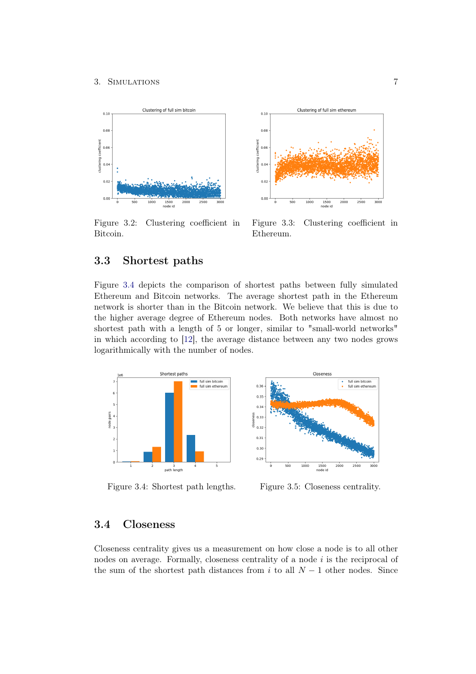#### 3. Simulations 7

<span id="page-11-2"></span>

Figure 3.2: Clustering coefficient in Bitcoin.



Figure 3.3: Clustering coefficient in Ethereum.

# <span id="page-11-0"></span>3.3 Shortest paths

Figure [3.4](#page-11-3) depicts the comparison of shortest paths between fully simulated Ethereum and Bitcoin networks. The average shortest path in the Ethereum network is shorter than in the Bitcoin network. We believe that this is due to the higher average degree of Ethereum nodes. Both networks have almost no shortest path with a length of 5 or longer, similar to "small-world networks" in which according to [\[12\]](#page-26-0), the average distance between any two nodes grows logarithmically with the number of nodes.

<span id="page-11-3"></span>

Figure 3.4: Shortest path lengths. Figure 3.5: Closeness centrality.



### <span id="page-11-1"></span>3.4 Closeness

Closeness centrality gives us a measurement on how close a node is to all other nodes on average. Formally, closeness centrality of a node  $i$  is the reciprocal of the sum of the shortest path distances from i to all  $N-1$  other nodes. Since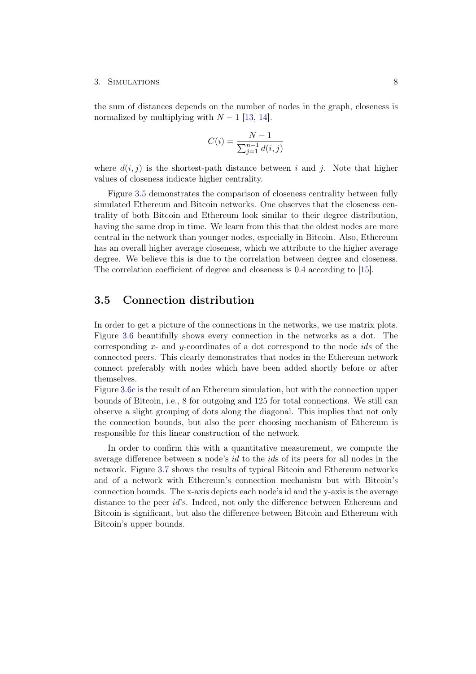#### 3. Simulations 8

the sum of distances depends on the number of nodes in the graph, closeness is normalized by multiplying with  $N-1$  [\[13,](#page-26-1) [14\]](#page-26-2).

$$
C(i) = \frac{N-1}{\sum_{j=1}^{n-1} d(i,j)}
$$

where  $d(i, j)$  is the shortest-path distance between i and j. Note that higher values of closeness indicate higher centrality.

Figure [3.5](#page-11-3) demonstrates the comparison of closeness centrality between fully simulated Ethereum and Bitcoin networks. One observes that the closeness centrality of both Bitcoin and Ethereum look similar to their degree distribution, having the same drop in time. We learn from this that the oldest nodes are more central in the network than younger nodes, especially in Bitcoin. Also, Ethereum has an overall higher average closeness, which we attribute to the higher average degree. We believe this is due to the correlation between degree and closeness. The correlation coefficient of degree and closeness is 0.4 according to [\[15\]](#page-26-3).

### <span id="page-12-0"></span>3.5 Connection distribution

In order to get a picture of the connections in the networks, we use matrix plots. Figure [3.6](#page-13-0) beautifully shows every connection in the networks as a dot. The corresponding x- and y-coordinates of a dot correspond to the node ids of the connected peers. This clearly demonstrates that nodes in the Ethereum network connect preferably with nodes which have been added shortly before or after themselves.

Figure [3.6c](#page-13-0) is the result of an Ethereum simulation, but with the connection upper bounds of Bitcoin, i.e., 8 for outgoing and 125 for total connections. We still can observe a slight grouping of dots along the diagonal. This implies that not only the connection bounds, but also the peer choosing mechanism of Ethereum is responsible for this linear construction of the network.

In order to confirm this with a quantitative measurement, we compute the average difference between a node's id to the ids of its peers for all nodes in the network. Figure [3.7](#page-13-1) shows the results of typical Bitcoin and Ethereum networks and of a network with Ethereum's connection mechanism but with Bitcoin's connection bounds. The x-axis depicts each node's id and the y-axis is the average distance to the peer *id*'s. Indeed, not only the difference between Ethereum and Bitcoin is significant, but also the difference between Bitcoin and Ethereum with Bitcoin's upper bounds.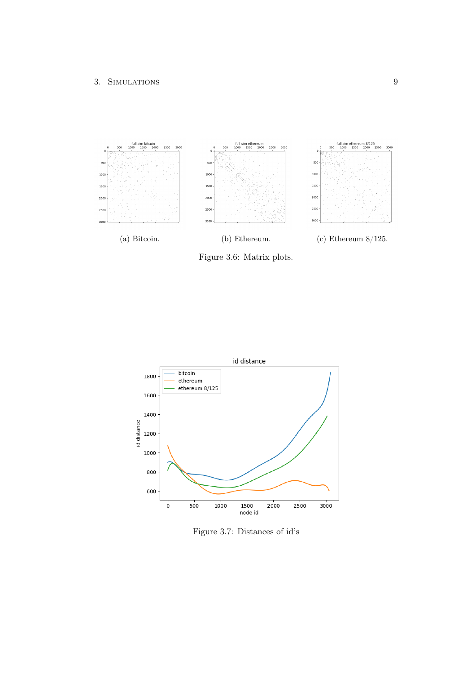<span id="page-13-0"></span>

Figure 3.6: Matrix plots.

<span id="page-13-1"></span>

Figure 3.7: Distances of id's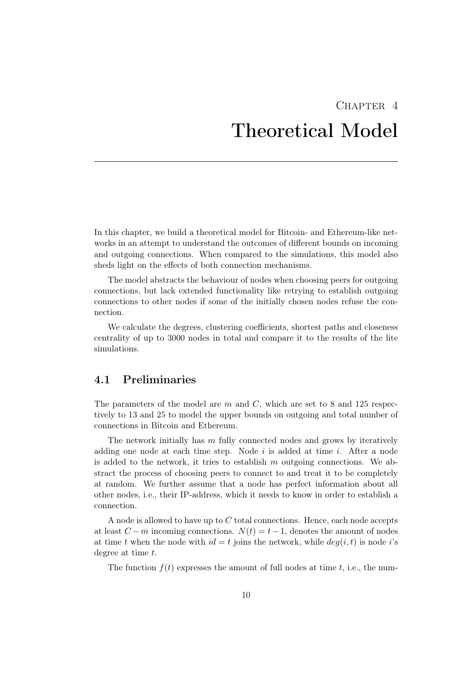# $CHAPTER$  4 Theoretical Model

<span id="page-14-0"></span>In this chapter, we build a theoretical model for Bitcoin- and Ethereum-like networks in an attempt to understand the outcomes of different bounds on incoming and outgoing connections. When compared to the simulations, this model also sheds light on the effects of both connection mechanisms.

The model abstracts the behaviour of nodes when choosing peers for outgoing connections, but lack extended functionality like retrying to establish outgoing connections to other nodes if some of the initially chosen nodes refuse the connection.

We calculate the degrees, clustering coefficients, shortest paths and closeness centrality of up to 3000 nodes in total and compare it to the results of the lite simulations.

### <span id="page-14-1"></span>4.1 Preliminaries

The parameters of the model are m and  $C$ , which are set to 8 and 125 respectively to 13 and 25 to model the upper bounds on outgoing and total number of connections in Bitcoin and Ethereum.

The network initially has  $m$  fully connected nodes and grows by iteratively adding one node at each time step. Node  $i$  is added at time  $i$ . After a node is added to the network, it tries to establish  $m$  outgoing connections. We abstract the process of choosing peers to connect to and treat it to be completely at random. We further assume that a node has perfect information about all other nodes, i.e., their IP-address, which it needs to know in order to establish a connection.

A node is allowed to have up to  $C$  total connections. Hence, each node accepts at least  $C - m$  incoming connections.  $N(t) = t - 1$ , denotes the amount of nodes at time t when the node with  $id = t$  joins the network, while  $deg(i, t)$  is node i's degree at time t.

The function  $f(t)$  expresses the amount of full nodes at time t, i.e., the num-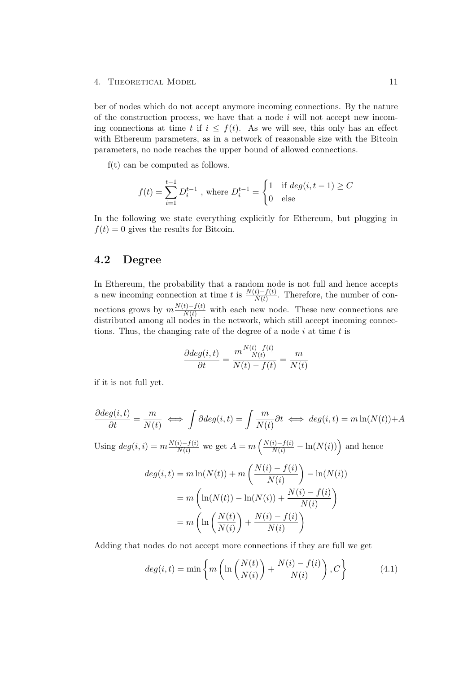ber of nodes which do not accept anymore incoming connections. By the nature of the construction process, we have that a node  $i$  will not accept new incoming connections at time t if  $i \leq f(t)$ . As we will see, this only has an effect with Ethereum parameters, as in a network of reasonable size with the Bitcoin parameters, no node reaches the upper bound of allowed connections.

f(t) can be computed as follows.

$$
f(t) = \sum_{i=1}^{t-1} D_i^{t-1}
$$
, where  $D_i^{t-1} = \begin{cases} 1 & \text{if } deg(i, t-1) \ge C \\ 0 & \text{else} \end{cases}$ 

In the following we state everything explicitly for Ethereum, but plugging in  $f(t) = 0$  gives the results for Bitcoin.

# <span id="page-15-0"></span>4.2 Degree

In Ethereum, the probability that a random node is not full and hence accepts a new incoming connection at time t is  $\frac{N(t)-f(t)}{N(t)}$ . Therefore, the number of connections grows by  $m \frac{N(t)-f(t)}{N(t)}$  with each new node. These new connections are distributed among all nodes in the network, which still accept incoming connections. Thus, the changing rate of the degree of a node  $i$  at time  $t$  is

$$
\frac{\partial deg(i,t)}{\partial t} = \frac{m \frac{N(t) - f(t)}{N(t)}}{N(t) - f(t)} = \frac{m}{N(t)}
$$

if it is not full yet.

$$
\frac{\partial deg(i,t)}{\partial t} = \frac{m}{N(t)} \iff \int \partial deg(i,t) = \int \frac{m}{N(t)} \partial t \iff deg(i,t) = m \ln(N(t)) + A
$$

Using  $deg(i, i) = m \frac{N(i) - f(i)}{N(i)}$  we get  $A = m \left( \frac{N(i) - f(i)}{N(i)} - \ln(N(i)) \right)$  and hence

$$
deg(i, t) = m \ln(N(t)) + m \left(\frac{N(i) - f(i)}{N(i)}\right) - \ln(N(i))
$$

$$
= m \left(\ln(N(t)) - \ln(N(i)) + \frac{N(i) - f(i)}{N(i)}\right)
$$

$$
= m \left(\ln\left(\frac{N(t)}{N(i)}\right) + \frac{N(i) - f(i)}{N(i)}\right)
$$

Adding that nodes do not accept more connections if they are full we get

$$
deg(i, t) = \min\left\{m\left(\ln\left(\frac{N(t)}{N(i)}\right) + \frac{N(i) - f(i)}{N(i)}\right), C\right\}
$$
(4.1)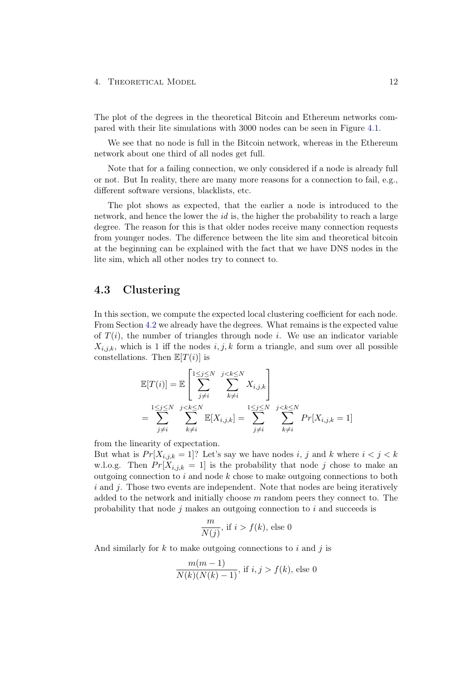The plot of the degrees in the theoretical Bitcoin and Ethereum networks compared with their lite simulations with 3000 nodes can be seen in Figure [4.1.](#page-17-0)

We see that no node is full in the Bitcoin network, whereas in the Ethereum network about one third of all nodes get full.

Note that for a failing connection, we only considered if a node is already full or not. But In reality, there are many more reasons for a connection to fail, e.g., different software versions, blacklists, etc.

The plot shows as expected, that the earlier a node is introduced to the network, and hence the lower the id is, the higher the probability to reach a large degree. The reason for this is that older nodes receive many connection requests from younger nodes. The difference between the lite sim and theoretical bitcoin at the beginning can be explained with the fact that we have DNS nodes in the lite sim, which all other nodes try to connect to.

### <span id="page-16-0"></span>4.3 Clustering

In this section, we compute the expected local clustering coefficient for each node. From Section [4.2](#page-15-0) we already have the degrees. What remains is the expected value of  $T(i)$ , the number of triangles through node i. We use an indicator variable  $X_{i,j,k}$ , which is 1 iff the nodes  $i, j, k$  form a triangle, and sum over all possible constellations. Then  $\mathbb{E}[T(i)]$  is

$$
\mathbb{E}[T(i)] = \mathbb{E}\left[\sum_{j\neq i}^{1\leq j\leq N} \sum_{k\neq i}^{j < k\leq N} X_{i,j,k}\right]
$$
\n
$$
= \sum_{j\neq i}^{1\leq j\leq N} \sum_{k\neq i}^{j < k\leq N} \mathbb{E}[X_{i,j,k}] = \sum_{j\neq i}^{1\leq j\leq N} \sum_{k\neq i}^{j < k\leq N} Pr[X_{i,j,k} = 1]
$$

from the linearity of expectation.

But what is  $Pr[X_{i,j,k} = 1]$ ? Let's say we have nodes i, j and k where  $i < j < k$ w.l.o.g. Then  $Pr[X_{i,j,k} = 1]$  is the probability that node j chose to make an outgoing connection to i and node  $k$  chose to make outgoing connections to both  $i$  and  $j$ . Those two events are independent. Note that nodes are being iteratively added to the network and initially choose  $m$  random peers they connect to. The probability that node  $j$  makes an outgoing connection to  $i$  and succeeds is

$$
\frac{m}{N(j)}, \text{ if } i > f(k), \text{ else } 0
$$

And similarly for  $k$  to make outgoing connections to i and j is

$$
\frac{m(m-1)}{N(k)(N(k)-1)}, \text{ if } i, j > f(k), \text{ else } 0
$$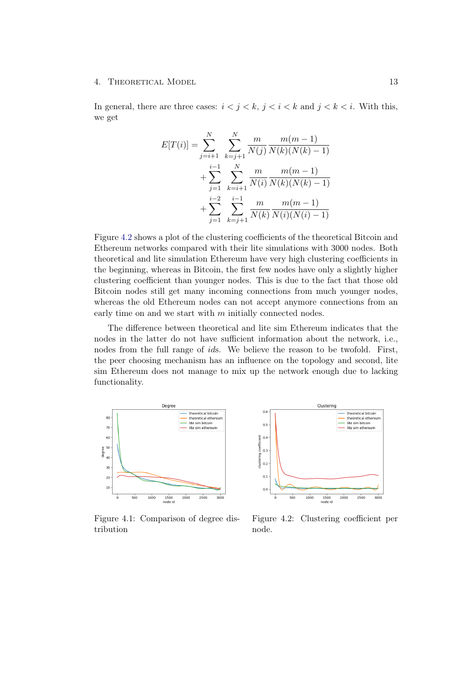In general, there are three cases:  $i < j < k$ ,  $j < i < k$  and  $j < k < i$ . With this, we get

$$
E[T(i)] = \sum_{j=i+1}^{N} \sum_{k=j+1}^{N} \frac{m}{N(j)} \frac{m(m-1)}{N(k)(N(k)-1)}
$$
  
+ 
$$
\sum_{j=1}^{i-1} \sum_{k=i+1}^{N} \frac{m}{N(i)} \frac{m(m-1)}{N(k)(N(k)-1)}
$$
  
+ 
$$
\sum_{j=1}^{i-2} \sum_{k=j+1}^{i-1} \frac{m}{N(k)} \frac{m(m-1)}{N(i)(N(i)-1)}
$$

Figure [4.2](#page-17-0) shows a plot of the clustering coefficients of the theoretical Bitcoin and Ethereum networks compared with their lite simulations with 3000 nodes. Both theoretical and lite simulation Ethereum have very high clustering coefficients in the beginning, whereas in Bitcoin, the first few nodes have only a slightly higher clustering coefficient than younger nodes. This is due to the fact that those old Bitcoin nodes still get many incoming connections from much younger nodes, whereas the old Ethereum nodes can not accept anymore connections from an early time on and we start with  $m$  initially connected nodes.

The difference between theoretical and lite sim Ethereum indicates that the nodes in the latter do not have sufficient information about the network, i.e., nodes from the full range of ids. We believe the reason to be twofold. First, the peer choosing mechanism has an influence on the topology and second, lite sim Ethereum does not manage to mix up the network enough due to lacking functionality.

<span id="page-17-0"></span>

Clustering theoretical bitcoin<br>theoretical ethereur<br>lite sim bitcoin  $0.1$  $0.5$ lite sim ethereun  $0.1$  $0.6$  $\frac{1000}{1000}$  $\frac{1500}{\text{node id}}$  $3000$  $50<sup>1</sup>$ 2000 2500

Figure 4.1: Comparison of degree distribution

Figure 4.2: Clustering coefficient per node.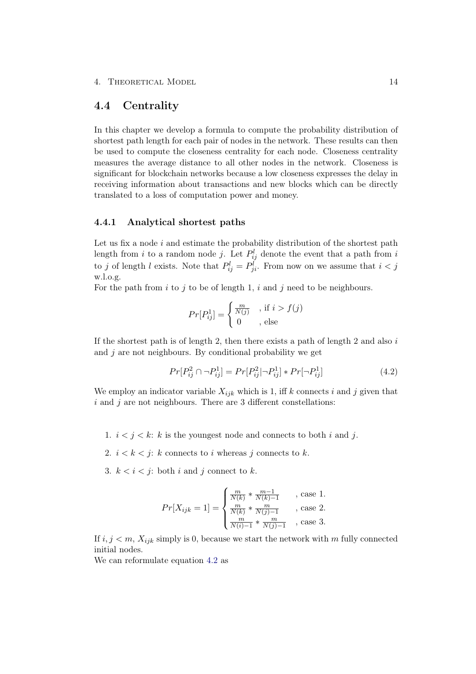### <span id="page-18-0"></span>4.4 Centrality

In this chapter we develop a formula to compute the probability distribution of shortest path length for each pair of nodes in the network. These results can then be used to compute the closeness centrality for each node. Closeness centrality measures the average distance to all other nodes in the network. Closeness is significant for blockchain networks because a low closeness expresses the delay in receiving information about transactions and new blocks which can be directly translated to a loss of computation power and money.

### <span id="page-18-1"></span>4.4.1 Analytical shortest paths

Let us fix a node  $i$  and estimate the probability distribution of the shortest path length from *i* to a random node *j*. Let  $P_{ij}^l$  denote the event that a path from *i* to j of length l exists. Note that  $P_{ij}^l = P_{ji}^l$ . From now on we assume that  $i < j$ w.l.o.g.

For the path from  $i$  to  $j$  to be of length 1,  $i$  and  $j$  need to be neighbours.

$$
Pr[P_{ij}^1] = \begin{cases} \frac{m}{N(j)} & , \text{if } i > f(j) \\ 0 & , \text{ else} \end{cases}
$$

If the shortest path is of length 2, then there exists a path of length 2 and also  $i$ and  $j$  are not neighbours. By conditional probability we get

<span id="page-18-2"></span>
$$
Pr[P_{ij}^2 \cap \neg P_{ij}^1] = Pr[P_{ij}^2|\neg P_{ij}^1] * Pr[\neg P_{ij}^1]
$$
\n(4.2)

We employ an indicator variable  $X_{ijk}$  which is 1, iff k connects i and j given that  $i$  and  $j$  are not neighbours. There are 3 different constellations:

- 1.  $i < j < k$ : k is the youngest node and connects to both i and j.
- 2.  $i < k < j$ : k connects to i whereas j connects to k.
- 3.  $k < i < j$ : both i and j connect to k.

$$
Pr[X_{ijk} = 1] = \begin{cases} \frac{m}{N(k)} * \frac{m-1}{N(k)-1} & , \text{ case } 1. \\ \frac{m}{N(k)} * \frac{m}{N(j)-1} & , \text{ case } 2. \\ \frac{m}{N(i)-1} * \frac{m}{N(j)-1} & , \text{ case } 3. \end{cases}
$$

If  $i, j < m$ ,  $X_{ijk}$  simply is 0, because we start the network with m fully connected initial nodes.

We can reformulate equation [4.2](#page-18-2) as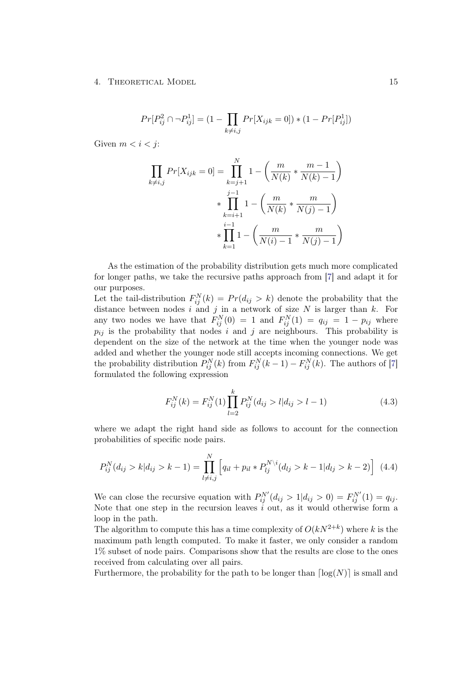$$
Pr[P_{ij}^2 \cap \neg P_{ij}^1] = (1 - \prod_{k \neq i,j} Pr[X_{ijk} = 0]) * (1 - Pr[P_{ij}^1])
$$

Given  $m < i < j$ :

$$
\prod_{k \neq i,j} Pr[X_{ijk} = 0] = \prod_{k=j+1}^{N} 1 - \left(\frac{m}{N(k)} * \frac{m-1}{N(k)-1}\right)
$$
  
 
$$
* \prod_{k=i+1}^{j-1} 1 - \left(\frac{m}{N(k)} * \frac{m}{N(j)-1}\right)
$$
  
 
$$
* \prod_{k=1}^{i-1} 1 - \left(\frac{m}{N(i)-1} * \frac{m}{N(j)-1}\right)
$$

As the estimation of the probability distribution gets much more complicated for longer paths, we take the recursive paths approach from [\[7\]](#page-25-7) and adapt it for our purposes.

Let the tail-distribution  $F_{ij}^N(k) = Pr(d_{ij} > k)$  denote the probability that the distance between nodes i and j in a network of size  $N$  is larger than k. For any two nodes we have that  $F_{ij}^N(0) = 1$  and  $F_{ij}^N(1) = q_{ij} = 1 - p_{ij}$  where  $p_{ij}$  is the probability that nodes i and j are neighbours. This probability is dependent on the size of the network at the time when the younger node was added and whether the younger node still accepts incoming connections. We get the probability distribution  $P_{ij}^{N}(k)$  from  $F_{ij}^{N}(k-1) - F_{ij}^{N}(k)$ . The authors of [\[7\]](#page-25-7) formulated the following expression

$$
F_{ij}^{N}(k) = F_{ij}^{N}(1) \prod_{l=2}^{k} P_{ij}^{N}(d_{ij} > l | d_{ij} > l - 1)
$$
\n(4.3)

where we adapt the right hand side as follows to account for the connection probabilities of specific node pairs.

$$
P_{ij}^{N}(d_{ij} > k | d_{ij} > k - 1) = \prod_{l \neq i,j}^{N} \left[ q_{il} + p_{il} * P_{lj}^{N \setminus i}(d_{lj} > k - 1 | d_{lj} > k - 2) \right] \tag{4.4}
$$

We can close the recursive equation with  $P_{ij}^{N'}(d_{ij} > 1|d_{ij} > 0) = F_{ij}^{N'}(1) = q_{ij}$ . Note that one step in the recursion leaves  $i$  out, as it would otherwise form a loop in the path.

The algorithm to compute this has a time complexity of  $O(kN^{2+k})$  where k is the maximum path length computed. To make it faster, we only consider a random 1% subset of node pairs. Comparisons show that the results are close to the ones received from calculating over all pairs.

Furthermore, the probability for the path to be longer than  $\lceil \log(N) \rceil$  is small and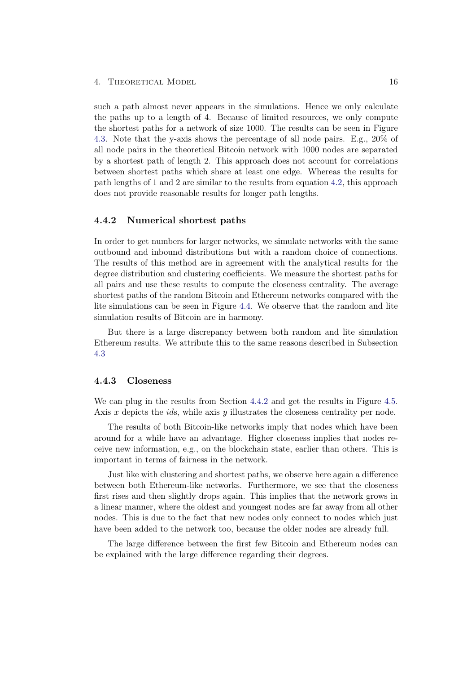such a path almost never appears in the simulations. Hence we only calculate the paths up to a length of 4. Because of limited resources, we only compute the shortest paths for a network of size 1000. The results can be seen in Figure [4.3.](#page-21-0) Note that the y-axis shows the percentage of all node pairs. E.g., 20% of all node pairs in the theoretical Bitcoin network with 1000 nodes are separated by a shortest path of length 2. This approach does not account for correlations between shortest paths which share at least one edge. Whereas the results for path lengths of 1 and 2 are similar to the results from equation [4.2,](#page-18-2) this approach does not provide reasonable results for longer path lengths.

### <span id="page-20-0"></span>4.4.2 Numerical shortest paths

In order to get numbers for larger networks, we simulate networks with the same outbound and inbound distributions but with a random choice of connections. The results of this method are in agreement with the analytical results for the degree distribution and clustering coefficients. We measure the shortest paths for all pairs and use these results to compute the closeness centrality. The average shortest paths of the random Bitcoin and Ethereum networks compared with the lite simulations can be seen in Figure [4.4.](#page-21-0) We observe that the random and lite simulation results of Bitcoin are in harmony.

But there is a large discrepancy between both random and lite simulation Ethereum results. We attribute this to the same reasons described in Subsection [4.3](#page-16-0)

### <span id="page-20-1"></span>4.4.3 Closeness

We can plug in the results from Section [4.4.2](#page-20-0) and get the results in Figure [4.5.](#page-21-0) Axis  $x$  depicts the *ids*, while axis  $y$  illustrates the closeness centrality per node.

The results of both Bitcoin-like networks imply that nodes which have been around for a while have an advantage. Higher closeness implies that nodes receive new information, e.g., on the blockchain state, earlier than others. This is important in terms of fairness in the network.

Just like with clustering and shortest paths, we observe here again a difference between both Ethereum-like networks. Furthermore, we see that the closeness first rises and then slightly drops again. This implies that the network grows in a linear manner, where the oldest and youngest nodes are far away from all other nodes. This is due to the fact that new nodes only connect to nodes which just have been added to the network too, because the older nodes are already full.

The large difference between the first few Bitcoin and Ethereum nodes can be explained with the large difference regarding their degrees.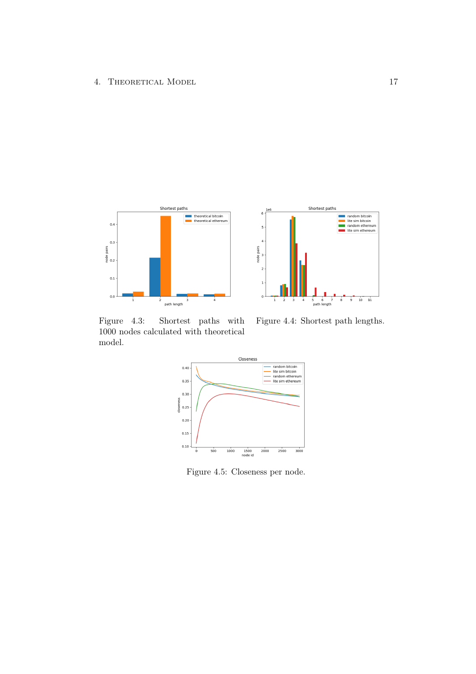<span id="page-21-0"></span>



Figure 4.3: Shortest paths with 1000 nodes calculated with theoretical model.

Figure 4.4: Shortest path lengths.



Figure 4.5: Closeness per node.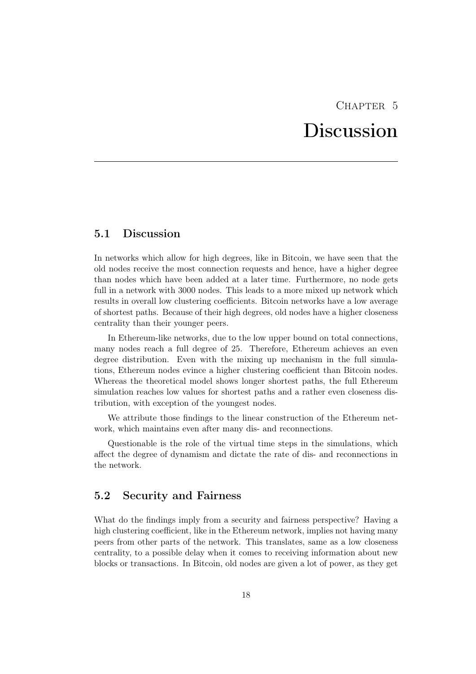# CHAPTER 5 Discussion

# <span id="page-22-1"></span><span id="page-22-0"></span>5.1 Discussion

In networks which allow for high degrees, like in Bitcoin, we have seen that the old nodes receive the most connection requests and hence, have a higher degree than nodes which have been added at a later time. Furthermore, no node gets full in a network with 3000 nodes. This leads to a more mixed up network which results in overall low clustering coefficients. Bitcoin networks have a low average of shortest paths. Because of their high degrees, old nodes have a higher closeness centrality than their younger peers.

In Ethereum-like networks, due to the low upper bound on total connections, many nodes reach a full degree of 25. Therefore, Ethereum achieves an even degree distribution. Even with the mixing up mechanism in the full simulations, Ethereum nodes evince a higher clustering coefficient than Bitcoin nodes. Whereas the theoretical model shows longer shortest paths, the full Ethereum simulation reaches low values for shortest paths and a rather even closeness distribution, with exception of the youngest nodes.

We attribute those findings to the linear construction of the Ethereum network, which maintains even after many dis- and reconnections.

Questionable is the role of the virtual time steps in the simulations, which affect the degree of dynamism and dictate the rate of dis- and reconnections in the network.

# <span id="page-22-2"></span>5.2 Security and Fairness

What do the findings imply from a security and fairness perspective? Having a high clustering coefficient, like in the Ethereum network, implies not having many peers from other parts of the network. This translates, same as a low closeness centrality, to a possible delay when it comes to receiving information about new blocks or transactions. In Bitcoin, old nodes are given a lot of power, as they get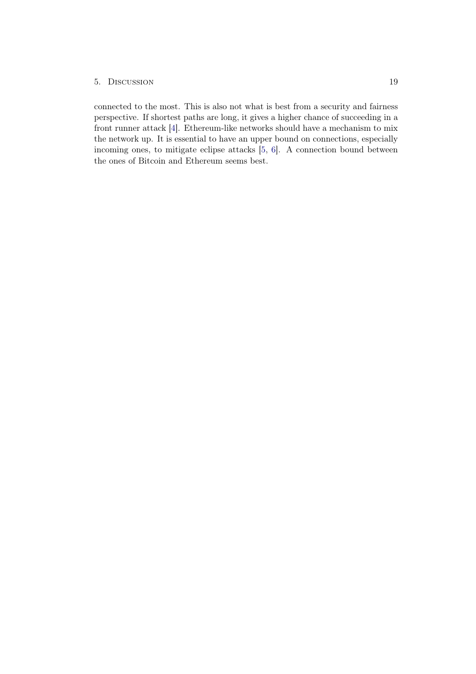### 5. Discussion 19

connected to the most. This is also not what is best from a security and fairness perspective. If shortest paths are long, it gives a higher chance of succeeding in a front runner attack [\[4\]](#page-25-4). Ethereum-like networks should have a mechanism to mix the network up. It is essential to have an upper bound on connections, especially incoming ones, to mitigate eclipse attacks [\[5,](#page-25-5) [6\]](#page-25-6). A connection bound between the ones of Bitcoin and Ethereum seems best.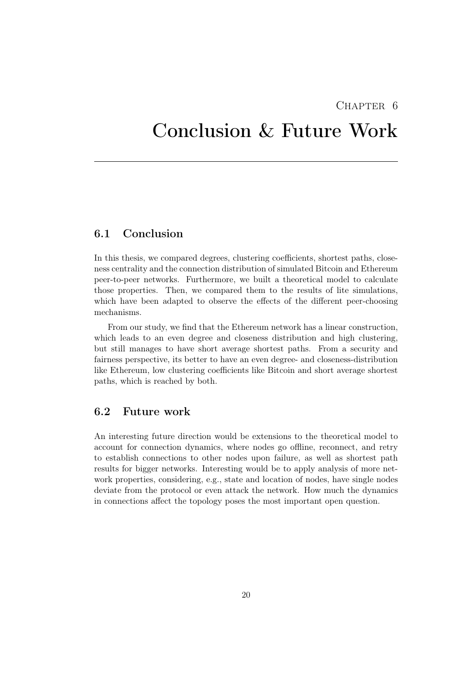# CHAPTER 6

# <span id="page-24-0"></span>Conclusion & Future Work

# <span id="page-24-1"></span>6.1 Conclusion

In this thesis, we compared degrees, clustering coefficients, shortest paths, closeness centrality and the connection distribution of simulated Bitcoin and Ethereum peer-to-peer networks. Furthermore, we built a theoretical model to calculate those properties. Then, we compared them to the results of lite simulations, which have been adapted to observe the effects of the different peer-choosing mechanisms.

From our study, we find that the Ethereum network has a linear construction, which leads to an even degree and closeness distribution and high clustering, but still manages to have short average shortest paths. From a security and fairness perspective, its better to have an even degree- and closeness-distribution like Ethereum, low clustering coefficients like Bitcoin and short average shortest paths, which is reached by both.

# <span id="page-24-2"></span>6.2 Future work

An interesting future direction would be extensions to the theoretical model to account for connection dynamics, where nodes go offline, reconnect, and retry to establish connections to other nodes upon failure, as well as shortest path results for bigger networks. Interesting would be to apply analysis of more network properties, considering, e.g., state and location of nodes, have single nodes deviate from the protocol or even attack the network. How much the dynamics in connections affect the topology poses the most important open question.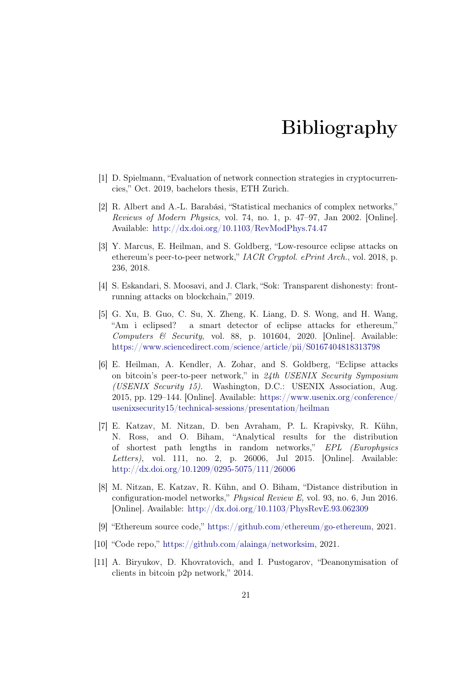# Bibliography

- <span id="page-25-1"></span><span id="page-25-0"></span>[1] D. Spielmann, "Evaluation of network connection strategies in cryptocurrencies," Oct. 2019, bachelors thesis, ETH Zurich.
- <span id="page-25-2"></span>[2] R. Albert and A.-L. Barabási, "Statistical mechanics of complex networks," Reviews of Modern Physics, vol. 74, no. 1, p. 47–97, Jan 2002. [Online]. Available: <http://dx.doi.org/10.1103/RevModPhys.74.47>
- <span id="page-25-3"></span>[3] Y. Marcus, E. Heilman, and S. Goldberg, "Low-resource eclipse attacks on ethereum's peer-to-peer network," IACR Cryptol. ePrint Arch., vol. 2018, p. 236, 2018.
- <span id="page-25-4"></span>[4] S. Eskandari, S. Moosavi, and J. Clark, "Sok: Transparent dishonesty: frontrunning attacks on blockchain," 2019.
- <span id="page-25-5"></span>[5] G. Xu, B. Guo, C. Su, X. Zheng, K. Liang, D. S. Wong, and H. Wang, "Am i eclipsed? a smart detector of eclipse attacks for ethereum," Computers  $\&$  Security, vol. 88, p. 101604, 2020. [Online]. Available: <https://www.sciencedirect.com/science/article/pii/S0167404818313798>
- <span id="page-25-6"></span>[6] E. Heilman, A. Kendler, A. Zohar, and S. Goldberg, "Eclipse attacks on bitcoin's peer-to-peer network," in 24th USENIX Security Symposium (USENIX Security 15). Washington, D.C.: USENIX Association, Aug. 2015, pp. 129–144. [Online]. Available: [https://www.usenix.org/conference/](https://www.usenix.org/conference/usenixsecurity15/technical-sessions/presentation/heilman) [usenixsecurity15/technical-sessions/presentation/heilman](https://www.usenix.org/conference/usenixsecurity15/technical-sessions/presentation/heilman)
- <span id="page-25-7"></span>[7] E. Katzav, M. Nitzan, D. ben Avraham, P. L. Krapivsky, R. Kühn, N. Ross, and O. Biham, "Analytical results for the distribution of shortest path lengths in random networks," EPL (Europhysics Letters), vol. 111, no. 2, p. 26006, Jul 2015. [Online]. Available: <http://dx.doi.org/10.1209/0295-5075/111/26006>
- <span id="page-25-8"></span>[8] M. Nitzan, E. Katzav, R. Kühn, and O. Biham, "Distance distribution in configuration-model networks," Physical Review E, vol. 93, no. 6, Jun 2016. [Online]. Available: <http://dx.doi.org/10.1103/PhysRevE.93.062309>
- <span id="page-25-9"></span>[9] "Ethereum source code," [https://github.com/ethereum/go-ethereum,](https://github.com/ethereum/go-ethereum) 2021.
- <span id="page-25-10"></span>[10] "Code repo," [https://github.com/alainga/networksim,](https://github.com/alainga/networksim) 2021.
- <span id="page-25-11"></span>[11] A. Biryukov, D. Khovratovich, and I. Pustogarov, "Deanonymisation of clients in bitcoin p2p network," 2014.